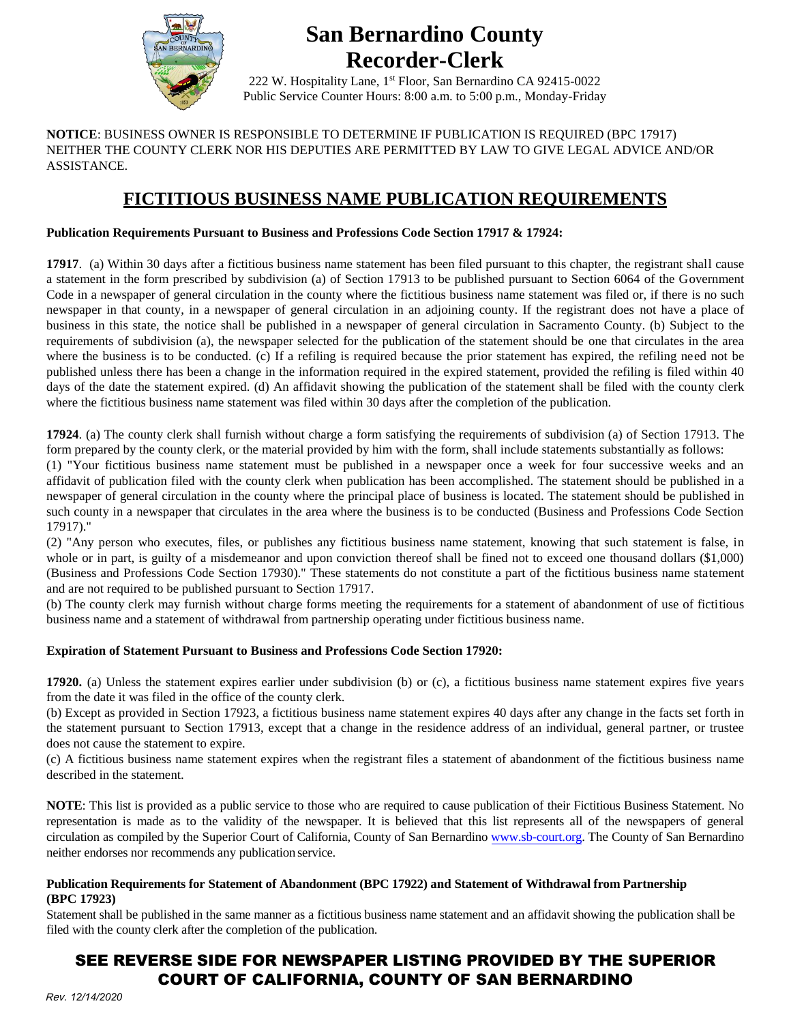

## **San Bernardino County Recorder-Clerk**

222 W. Hospitality Lane, 1st Floor, San Bernardino CA 92415-0022 Public Service Counter Hours: 8:00 a.m. to 5:00 p.m., Monday-Friday

**NOTICE**: BUSINESS OWNER IS RESPONSIBLE TO DETERMINE IF PUBLICATION IS REQUIRED (BPC 17917) NEITHER THE COUNTY CLERK NOR HIS DEPUTIES ARE PERMITTED BY LAW TO GIVE LEGAL ADVICE AND/OR ASSISTANCE.

### **FICTITIOUS BUSINESS NAME PUBLICATION REQUIREMENTS**

#### **Publication Requirements Pursuant to Business and Professions Code Section 17917 & 17924:**

**17917**. (a) Within 30 days after a fictitious business name statement has been filed pursuant to this chapter, the registrant shall cause a statement in the form prescribed by subdivision (a) of Section 17913 to be published pursuant to Section 6064 of the Government Code in a newspaper of general circulation in the county where the fictitious business name statement was filed or, if there is no such newspaper in that county, in a newspaper of general circulation in an adjoining county. If the registrant does not have a place of business in this state, the notice shall be published in a newspaper of general circulation in Sacramento County. (b) Subject to the requirements of subdivision (a), the newspaper selected for the publication of the statement should be one that circulates in the area where the business is to be conducted. (c) If a refiling is required because the prior statement has expired, the refiling need not be published unless there has been a change in the information required in the expired statement, provided the refiling is filed within 40 days of the date the statement expired. (d) An affidavit showing the publication of the statement shall be filed with the county clerk where the fictitious business name statement was filed within 30 days after the completion of the publication.

**17924**. (a) The county clerk shall furnish without charge a form satisfying the requirements of subdivision (a) of Section 17913. The form prepared by the county clerk, or the material provided by him with the form, shall include statements substantially as follows:

(1) "Your fictitious business name statement must be published in a newspaper once a week for four successive weeks and an affidavit of publication filed with the county clerk when publication has been accomplished. The statement should be published in a newspaper of general circulation in the county where the principal place of business is located. The statement should be published in such county in a newspaper that circulates in the area where the business is to be conducted (Business and Professions Code Section 17917)."

(2) "Any person who executes, files, or publishes any fictitious business name statement, knowing that such statement is false, in whole or in part, is guilty of a misdemeanor and upon conviction thereof shall be fined not to exceed one thousand dollars (\$1,000) (Business and Professions Code Section 17930)." These statements do not constitute a part of the fictitious business name statement and are not required to be published pursuant to Section 17917.

(b) The county clerk may furnish without charge forms meeting the requirements for a statement of abandonment of use of fictitious business name and a statement of withdrawal from partnership operating under fictitious business name.

#### **Expiration of Statement Pursuant to Business and Professions Code Section 17920:**

**17920.** (a) Unless the statement expires earlier under subdivision (b) or (c), a fictitious business name statement expires five years from the date it was filed in the office of the county clerk.

(b) Except as provided in Section 17923, a fictitious business name statement expires 40 days after any change in the facts set forth in the statement pursuant to Section 17913, except that a change in the residence address of an individual, general partner, or trustee does not cause the statement to expire.

(c) A fictitious business name statement expires when the registrant files a statement of abandonment of the fictitious business name described in the statement.

**NOTE**: This list is provided as a public service to those who are required to cause publication of their Fictitious Business Statement. No representation is made as to the validity of the newspaper. It is believed that this list represents all of the newspapers of general circulation as compiled by the Superior Court of California, County of San Bernardino [www.sb-court.org.](http://www.sb-court.org/) The County of San Bernardino neither endorses nor recommends any publication service.

#### **Publication Requirements for Statement of Abandonment (BPC 17922) and Statement of Withdrawal from Partnership (BPC 17923)**

Statement shall be published in the same manner as a fictitious business name statement and an affidavit showing the publication shall be filed with the county clerk after the completion of the publication.

#### SEE REVERSE SIDE FOR NEWSPAPER LISTING PROVIDED BY THE SUPERIOR COURT OF CALIFORNIA, COUNTY OF SAN BERNARDINO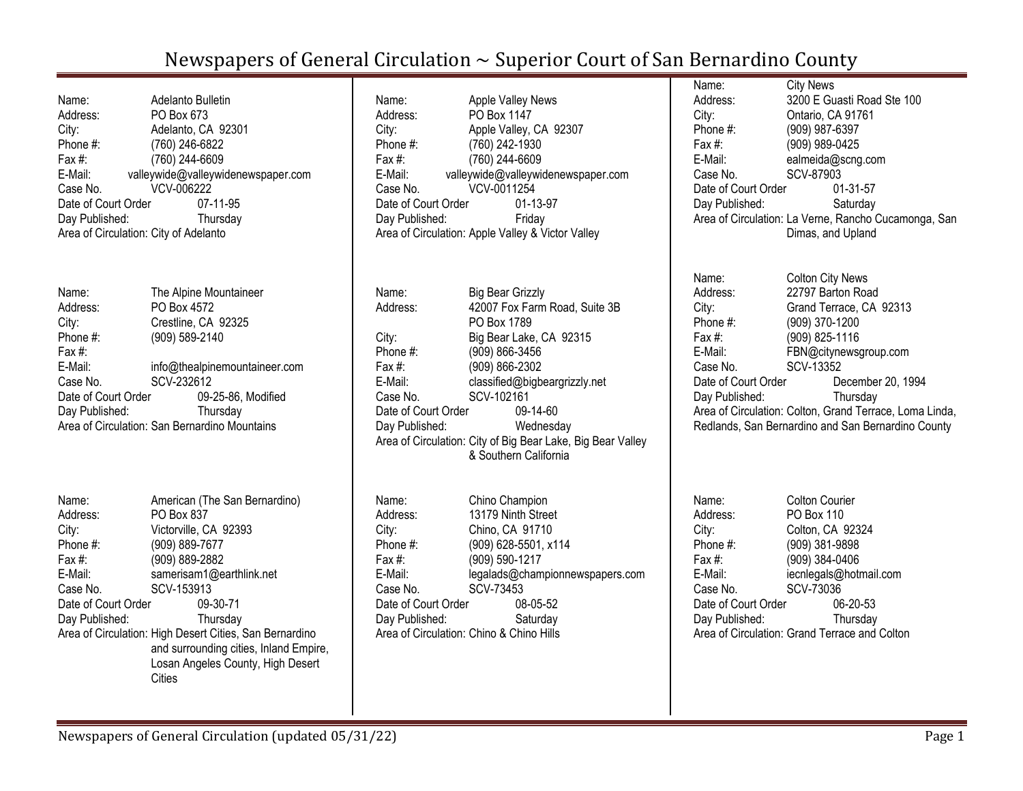| Name:<br>Address:<br>City:<br>Phone #:<br>Fax $#$ :<br>E-Mail:<br>Case No.<br>Date of Court Order<br>Day Published:<br>Area of Circulation: City of Adelanto | Adelanto Bulletin<br>PO Box 673<br>Adelanto, CA 92301<br>(760) 246-6822<br>(760) 244-6609<br>valleywide@valleywidenewspaper.com<br>VCV-006222<br>07-11-95<br>Thursday                                                                                                                                                          |
|--------------------------------------------------------------------------------------------------------------------------------------------------------------|--------------------------------------------------------------------------------------------------------------------------------------------------------------------------------------------------------------------------------------------------------------------------------------------------------------------------------|
| Name:<br>Address:<br>City:<br>Phone #:<br>Fax #:<br>E-Mail:                                                                                                  | The Alpine Mountaineer<br>PO Box 4572<br>Crestline, CA 92325<br>(909) 589-2140<br>info@thealpinemountaineer.com                                                                                                                                                                                                                |
| Case No.<br>Date of Court Order<br>Day Published:                                                                                                            | SCV-232612<br>09-25-86, Modified<br>Thursday<br>Area of Circulation: San Bernardino Mountains                                                                                                                                                                                                                                  |
| Name:<br>Address:<br>City:<br>Phone #:<br>Fax #:<br>E-Mail:<br>Case No.<br>Date of Court Order<br>Day Published:                                             | American (The San Bernardino)<br>PO Box 837<br>Victorville, CA 92393<br>(909) 889-7677<br>(909) 889-2882<br>samerisam1@earthlink.net<br>SCV-153913<br>09-30-71<br>Thursday<br>Area of Circulation: High Desert Cities, San Bernardino<br>and surrounding cities, Inland Empire,<br>Losan Angeles County, High Desert<br>Cities |

| Name:<br>Address:<br>City:<br>Phone $#$ :<br>Fax #:<br>E-Mail:<br>Case No.<br>Date of Court Order<br>Day Published: | <b>Apple Valley News</b><br>PO Box 1147<br>Apple Valley, CA 92307<br>(760) 242-1930<br>(760) 244-6609<br>valleywide@valleywidenewspaper.com<br>VCV-0011254<br>01-13-97<br>Friday<br>Area of Circulation: Apple Valley & Victor Valley |
|---------------------------------------------------------------------------------------------------------------------|---------------------------------------------------------------------------------------------------------------------------------------------------------------------------------------------------------------------------------------|
| Name:                                                                                                               | Big Bear Grizzly                                                                                                                                                                                                                      |
| Address:                                                                                                            | 42007 Fox Farm Road, Suite 3B                                                                                                                                                                                                         |

PO Box 1789 City: Big Bear Lake, CA 92315 Phone #: (909) 866-3456 Fax #: (909) 866-2302 E-Mail: classified@bigbeargrizzly.net Case No. SCV-102161 Date of Court Order 09-14-60 Day Published: Wednesday Area of Circulation: City of Big Bear Lake, Big Bear Valley & Southern California

| Chino Champion                           |
|------------------------------------------|
| 13179 Ninth Street                       |
| Chino, CA 91710                          |
| (909) 628-5501, x114                     |
| (909) 590-1217                           |
| legalads@championnewspapers.com          |
| SCV-73453                                |
| Date of Court Order<br>08-05-52          |
| Saturday                                 |
| Area of Circulation: Chino & Chino Hills |
|                                          |

| Name:               | <b>City News</b>                                     |
|---------------------|------------------------------------------------------|
| Address:            | 3200 E Guasti Road Ste 100                           |
| City:               | Ontario, CA 91761                                    |
| Phone #:            | (909) 987-6397                                       |
| Fax $#$ :           | (909) 989-0425                                       |
| E-Mail:             | ealmeida@scng.com                                    |
| Case No.            | SCV-87903                                            |
| Date of Court Order | 01-31-57                                             |
| Day Published:      | Saturday                                             |
|                     | Area of Circulation: La Verne, Rancho Cucamonga, San |
|                     | Dimas, and Upland                                    |

| Name:               | <b>Colton City News</b>                                 |
|---------------------|---------------------------------------------------------|
| Address:            | 22797 Barton Road                                       |
| City:               | Grand Terrace, CA 92313                                 |
| Phone #:            | (909) 370-1200                                          |
| Fax#:               | (909) 825-1116                                          |
| E-Mail:             | FBN@citynewsgroup.com                                   |
| Case No.            | SCV-13352                                               |
| Date of Court Order | December 20, 1994                                       |
| Day Published:      | Thursday                                                |
|                     | Area of Circulation: Colton, Grand Terrace, Loma Linda, |
|                     | Redlands, San Bernardino and San Bernardino County      |

| PO Box 110<br>Address:<br>Colton, CA 92324<br>City:<br>(909) 381-9898<br>Phone #:<br>(909) 384-0406<br>Fax #:<br>iecnlegals@hotmail.com<br>E-Mail:<br>SCV-73036<br>Case No.<br>Date of Court Order<br>06-20-53<br>Day Published:<br>Thursday<br>Area of Circulation: Grand Terrace and Colton | Name: | <b>Colton Courier</b> |
|-----------------------------------------------------------------------------------------------------------------------------------------------------------------------------------------------------------------------------------------------------------------------------------------------|-------|-----------------------|
|                                                                                                                                                                                                                                                                                               |       |                       |
|                                                                                                                                                                                                                                                                                               |       |                       |
|                                                                                                                                                                                                                                                                                               |       |                       |
|                                                                                                                                                                                                                                                                                               |       |                       |
|                                                                                                                                                                                                                                                                                               |       |                       |
|                                                                                                                                                                                                                                                                                               |       |                       |
|                                                                                                                                                                                                                                                                                               |       |                       |
|                                                                                                                                                                                                                                                                                               |       |                       |
|                                                                                                                                                                                                                                                                                               |       |                       |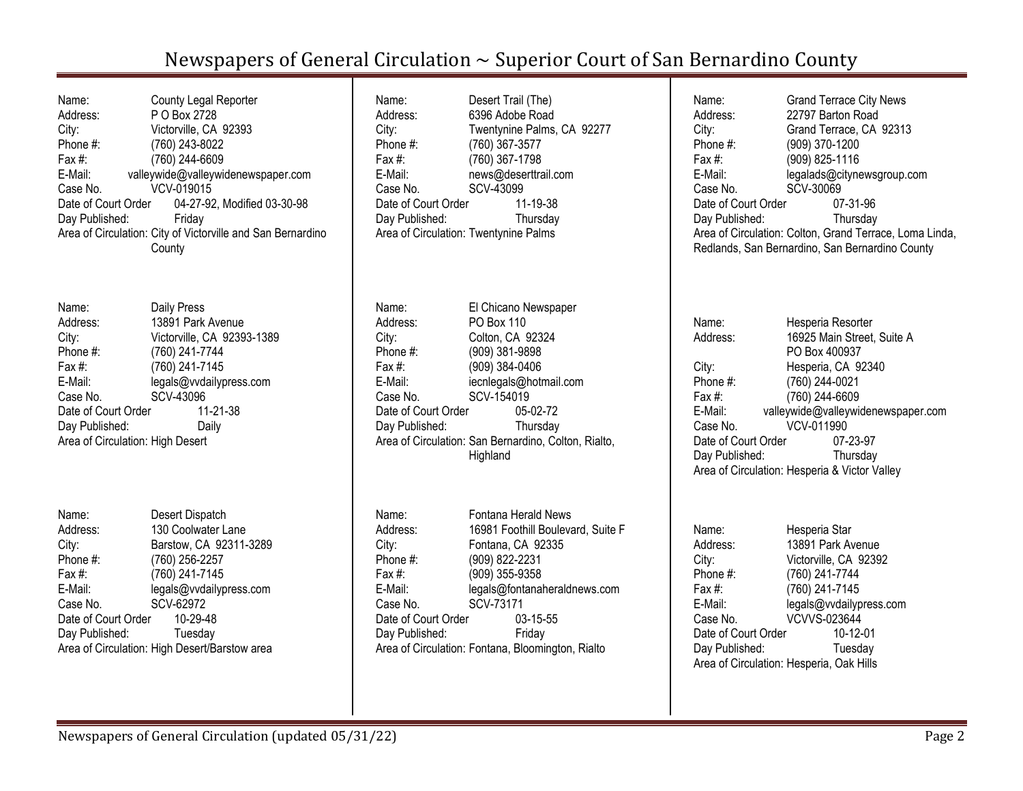| Name:                                                       | County Legal Reporter                           |  |
|-------------------------------------------------------------|-------------------------------------------------|--|
| Address:                                                    | P O Box 2728                                    |  |
| City:                                                       | Victorville, CA 92393                           |  |
| Phone #:                                                    | (760) 243-8022                                  |  |
| Fax #:                                                      | (760) 244-6609                                  |  |
| E-Mail:                                                     | valleywide@valleywidenewspaper.com              |  |
| Case No.                                                    | VCV-019015                                      |  |
|                                                             | Date of Court Order 04-27-92, Modified 03-30-98 |  |
| Day Published:                                              | Friday                                          |  |
| Area of Circulation: City of Victorville and San Bernardino |                                                 |  |
|                                                             | County                                          |  |

| Name:                            | Daily Press                |
|----------------------------------|----------------------------|
| Address:                         | 13891 Park Avenue          |
| City:                            | Victorville, CA 92393-1389 |
| Phone #:                         | (760) 241-7744             |
| Fax #:                           | (760) 241-7145             |
| E-Mail:                          | legals@vvdailypress.com    |
| Case No.                         | SCV-43096                  |
| Date of Court Order              | 11-21-38                   |
| Day Published:                   | Daily                      |
| Area of Circulation: High Desert |                            |

| Name:               | Desert Dispatch                               |
|---------------------|-----------------------------------------------|
| Address:            | 130 Coolwater Lane                            |
| City:               | Barstow, CA 92311-3289                        |
| Phone #:            | (760) 256-2257                                |
| Fax $#$ :           | (760) 241-7145                                |
| E-Mail:             | legals@vvdailypress.com                       |
| Case No.            | SCV-62972                                     |
| Date of Court Order | 10-29-48                                      |
| Day Published:      | Tuesday                                       |
|                     | Area of Circulation: High Desert/Barstow area |

| Name:                                 | Desert Trail (The)         |
|---------------------------------------|----------------------------|
|                                       |                            |
| Address:                              | 6396 Adobe Road            |
| City:                                 | Twentynine Palms, CA 92277 |
| Phone #:                              | (760) 367-3577             |
| Fax $#$ :                             | (760) 367-1798             |
| E-Mail:                               | news@deserttrail.com       |
| Case No.                              | SCV-43099                  |
| Date of Court Order                   | 11-19-38                   |
| Day Published:                        | Thursday                   |
| Area of Circulation: Twentynine Palms |                            |
|                                       |                            |

| El Chicano Newspaper                                 |
|------------------------------------------------------|
| PO Box 110                                           |
| Colton, CA 92324                                     |
| (909) 381-9898                                       |
| (909) 384-0406                                       |
| iecnlegals@hotmail.com                               |
| SCV-154019                                           |
| Date of Court Order<br>05-02-72                      |
| Thursday                                             |
| Area of Circulation: San Bernardino, Colton, Rialto, |
| Highland                                             |
|                                                      |

| Name:               | Fontana Herald News                               |
|---------------------|---------------------------------------------------|
| Address:            | 16981 Foothill Boulevard, Suite F                 |
| City:               | Fontana, CA 92335                                 |
| Phone #:            | (909) 822-2231                                    |
| Fax $#$ :           | (909) 355-9358                                    |
| E-Mail:             | legals@fontanaheraldnews.com                      |
| Case No.            | SCV-73171                                         |
| Date of Court Order | $03 - 15 - 55$                                    |
| Day Published:      | Friday                                            |
|                     | Area of Circulation: Fontana, Bloomington, Rialto |

| Name:<br>Address:<br>City:<br>Phone #:<br>Fax #:<br>E-Mail:<br>Case No.<br>Date of Court Order<br>Day Published: | <b>Grand Terrace City News</b><br>22797 Barton Road<br>Grand Terrace, CA 92313<br>(909) 370-1200<br>(909) 825-1116<br>legalads@citynewsgroup.com<br>SCV-30069<br>07-31-96<br>Thursday<br>Area of Circulation: Colton, Grand Terrace, Loma Linda,<br>Redlands, San Bernardino, San Bernardino County |
|------------------------------------------------------------------------------------------------------------------|-----------------------------------------------------------------------------------------------------------------------------------------------------------------------------------------------------------------------------------------------------------------------------------------------------|
| Name:<br>Address:<br>City:<br>Phone #:<br>Fax #:<br>E-Mail:<br>Case No.<br>Date of Court Order<br>Day Published: | Hesperia Resorter<br>16925 Main Street, Suite A<br>PO Box 400937<br>Hesperia, CA 92340<br>(760) 244-0021<br>(760) 244-6609<br>valleywide@valleywidenewspaper.com<br>VCV-011990<br>07-23-97<br>Thursday<br>Area of Circulation: Hesperia & Victor Valley                                             |
| Name:<br>Address:<br>City:<br>Phone #:                                                                           | Hesperia Star<br>13891 Park Avenue<br>Victorville, CA 92392<br>(760) 241-7744                                                                                                                                                                                                                       |

Fax #: (760) 241-7145<br>E-Mail: legals@vvdailyp

Case No. VCVVS-023644 Date of Court Order 10-12-01<br>Day Published: Tuesday

Area of Circulation: Hesperia, Oak Hills

Day Published:

E-Mail: legals@vvdailypress.com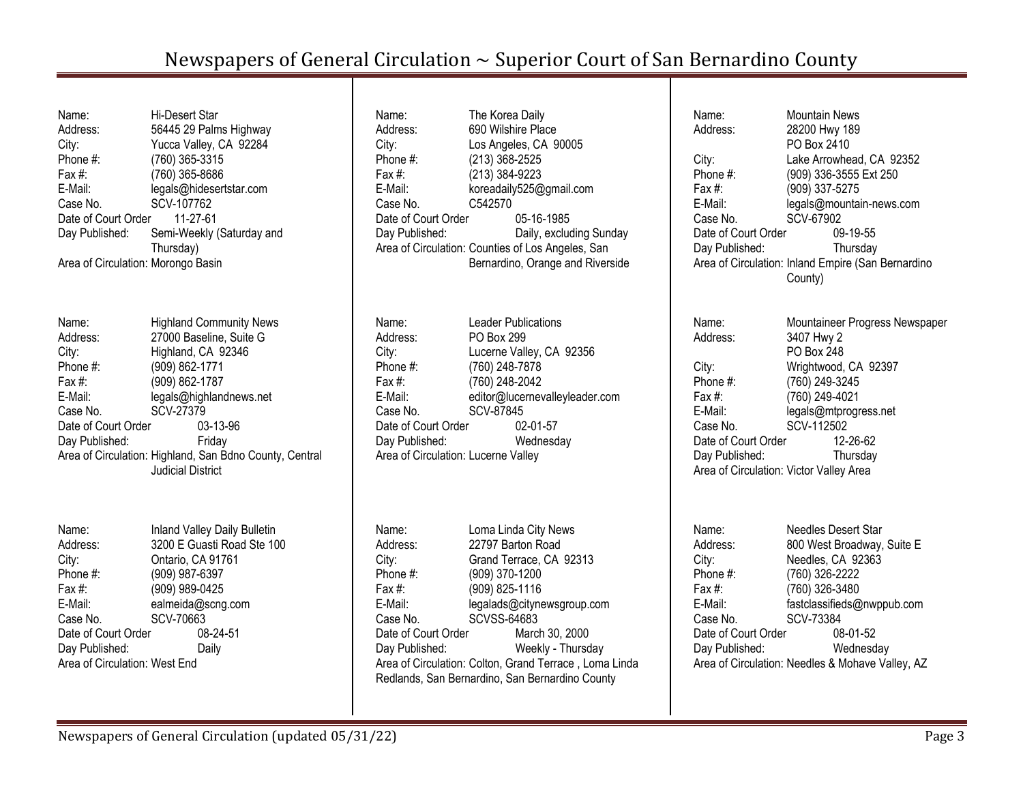Name: Hi-Desert Star Address: 56445 29 Palms Highway City: Yucca Valley, CA 92284 Phone #: (760) 365-3315 Fax #: (760) 365-8686 E-Mail: legals@hidesertstar.com Case No. SCV-107762 Date of Court Order 11-27-61 Day Published: Semi-Weekly (Saturday and Thursday) Area of Circulation: Morongo Basin Name: Highland Community News Address: 27000 Baseline, Suite G City: Highland, CA 92346 Phone #: (909) 862-1771 Fax #: (909) 862-1787 E-Mail: legals@highlandnews.net Case No. SCV-27379 Date of Court Order 03-13-96 Day Published: Friday Area of Circulation: Highland, San Bdno County, Central Judicial District Name: Inland Valley Daily Bulletin Address: 3200 E Guasti Road Ste 100 City: Ontario, CA 91761 Phone #: (909) 987-6397 Fax #: (909) 989-0425 E-Mail: ealmeida@scng.com Case No. SCV-70663

Day Published: Daily Area of Circulation: West End

Date of Court Order 08-24-51

Name: The Korea Daily Address: 690 Wilshire Place City: Los Angeles, CA 90005 Phone #: (213) 368-2525 Fax #: (213) 384-9223 E-Mail: koreadaily525@gmail.com Case No. C542570 Date of Court Order 05-16-1985 Day Published: Daily, excluding Sunday Area of Circulation: Counties of Los Angeles, San Bernardino, Orange and Riverside Name: Leader Publications Address: PO Box 299 City: Lucerne Valley, CA 92356 Phone #: (760) 248-7878 Fax #: (760) 248-2042 E-Mail: editor@lucernevalleyleader.com Case No. SCV-87845 Date of Court Order 02-01-57 Day Published: Wednesday Area of Circulation: Lucerne Valley Name: Loma Linda City News Address: 22797 Barton Road City: Grand Terrace, CA 92313 Phone #: (909) 370-1200 Fax #: (909) 825-1116 E-Mail: legalads@citynewsgroup.com Case No. SCVSS-64683 Date of Court Order March 30, 2000 Day Published: Weekly - Thursday Area of Circulation: Colton, Grand Terrace , Loma Linda Redlands, San Bernardino, San Bernardino County

Name: Mountain News Address: 28200 Hwy 189 PO Box 2410 City: Lake Arrowhead, CA 92352 Phone #: (909) 336-3555 Ext 250 Fax #: (909) 337-5275 E-Mail: legals@mountain-news.com Case No. SCV-67902 Date of Court Order 09-19-55 Day Published: Thursday Area of Circulation: Inland Empire (San Bernardino County) Name: Mountaineer Progress Newspaper Address: 3407 Hwy 2 PO Box 248 City: Wrightwood, CA 92397 Phone #: (760) 249-3245 Fax #: (760) 249-4021 E-Mail: legals@mtprogress.net Case No. SCV-112502 Date of Court Order 12-26-62 Day Published: Thursday Area of Circulation: Victor Valley Area Name: Needles Desert Star Address: 800 West Broadway, Suite E City: Needles, CA 92363 Phone #: (760) 326-2222 Fax #: (760) 326-3480 E-Mail: fastclassifieds@nwppub.com Case No. SCV-73384 Date of Court Order 08-01-52

Day Published: Wednesday Area of Circulation: Needles & Mohave Valley, AZ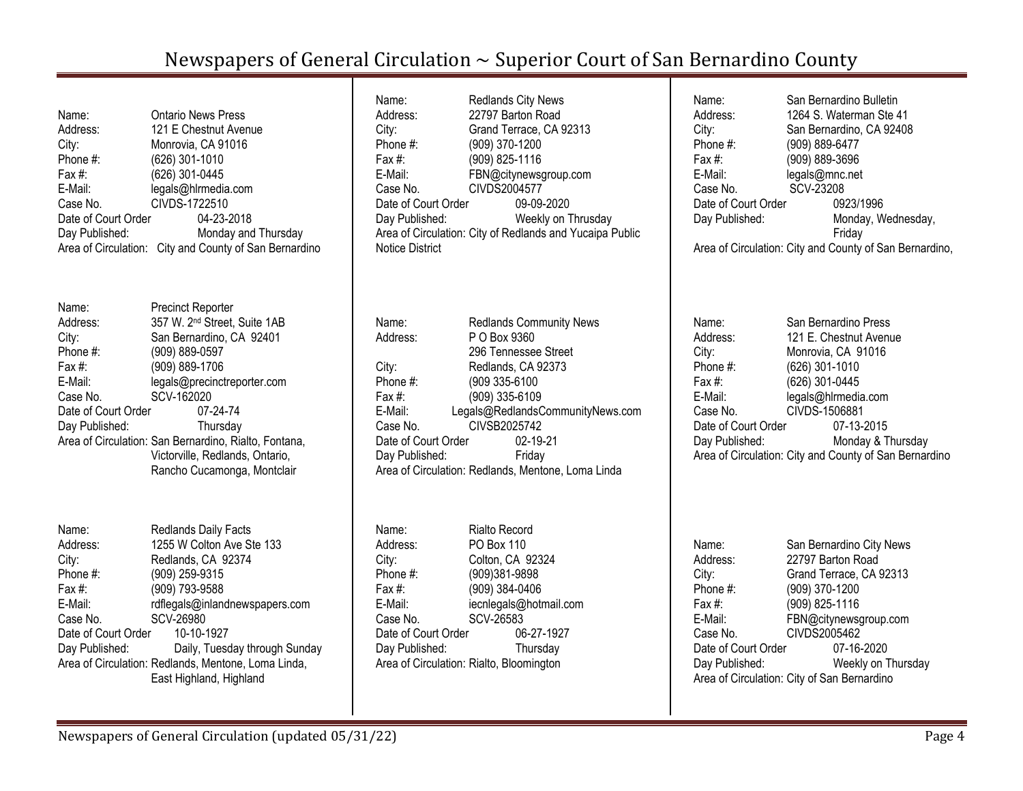| Name:<br>Address:<br>City:<br>Phone #:<br>Fax #:<br>E-Mail:<br>Case No.<br>Date of Court Order<br>Day Published: | <b>Ontario News Press</b><br>121 E Chestnut Avenue<br>Monrovia, CA 91016<br>(626) 301-1010<br>(626) 301-0445<br>legals@hlrmedia.com<br>CIVDS-1722510<br>04-23-2018<br>Monday and Thursday<br>Area of Circulation: City and County of San Bernardino                                                                                  | Name:<br>Address:<br>City:<br>Phone $#$ :<br>Fax $#$ :<br>E-Mail:<br>Case No.<br>Date of Court Order<br>Day Published:<br><b>Notice District</b> | <b>Redlands City News</b><br>22797 Barton Road<br>Grand Terrace, CA 92313<br>(909) 370-1200<br>(909) 825-1116<br>FBN@citynewsgroup.com<br>CIVDS2004577<br>09-09-2020<br>Weekly on Thrusday<br>Area of Circulation: City of Redlands and Yucaipa Public          | Name:<br>Address:<br>City:<br>Phone #:<br>Fax $#$ :<br>E-Mail:<br>Case No.<br>Date of Court Order<br>Day Published:    | San Bernardino Bulletin<br>1264 S. Waterman Ste 41<br>San Bernardino, CA 92408<br>(909) 889-6477<br>(909) 889-3696<br>legals@mnc.net<br>SCV-23208<br>0923/1996<br>Monday, Wednesday,<br>Friday<br>Area of Circulation: City and County of San Bernardino, |
|------------------------------------------------------------------------------------------------------------------|--------------------------------------------------------------------------------------------------------------------------------------------------------------------------------------------------------------------------------------------------------------------------------------------------------------------------------------|--------------------------------------------------------------------------------------------------------------------------------------------------|-----------------------------------------------------------------------------------------------------------------------------------------------------------------------------------------------------------------------------------------------------------------|------------------------------------------------------------------------------------------------------------------------|-----------------------------------------------------------------------------------------------------------------------------------------------------------------------------------------------------------------------------------------------------------|
| Name:<br>Address:<br>City:<br>Phone #:<br>Fax #:<br>E-Mail:<br>Case No.<br>Date of Court Order<br>Day Published: | <b>Precinct Reporter</b><br>357 W. 2 <sup>nd</sup> Street, Suite 1AB<br>San Bernardino, CA 92401<br>(909) 889-0597<br>(909) 889-1706<br>legals@precinctreporter.com<br>SCV-162020<br>07-24-74<br>Thursday<br>Area of Circulation: San Bernardino, Rialto, Fontana,<br>Victorville, Redlands, Ontario,<br>Rancho Cucamonga, Montclair | Name:<br>Address:<br>City:<br>Phone #:<br>Fax #:<br>E-Mail:<br>Case No.<br>Date of Court Order<br>Day Published:                                 | <b>Redlands Community News</b><br>P O Box 9360<br>296 Tennessee Street<br>Redlands, CA 92373<br>(909 335-6100<br>(909) 335-6109<br>Legals@RedlandsCommunityNews.com<br>CIVSB2025742<br>02-19-21<br>Friday<br>Area of Circulation: Redlands, Mentone, Loma Linda | Name:<br>Address:<br>City:<br>Phone $#$ :<br>Fax $#$ :<br>E-Mail:<br>Case No.<br>Date of Court Order<br>Day Published: | San Bernardino Press<br>121 E. Chestnut Avenue<br>Monrovia, CA 91016<br>$(626)$ 301-1010<br>(626) 301-0445<br>legals@hlrmedia.com<br>CIVDS-1506881<br>07-13-2015<br>Monday & Thursday<br>Area of Circulation: City and County of San Bernardino           |
| Name:<br>Address:<br>City:<br>Phone #:<br>Fax #:<br>E-Mail:<br>Case No.<br>Date of Court Order<br>Day Published: | Redlands Daily Facts<br>1255 W Colton Ave Ste 133<br>Redlands, CA 92374<br>(909) 259-9315<br>(909) 793-9588<br>rdflegals@inlandnewspapers.com<br>SCV-26980<br>10-10-1927<br>Daily, Tuesday through Sunday<br>Area of Circulation: Redlands, Mentone, Loma Linda,<br>East Highland, Highland                                          | Name:<br>Address:<br>City:<br>Phone #:<br>Fax $#$ :<br>E-Mail:<br>Case No.<br>Date of Court Order<br>Day Published:                              | <b>Rialto Record</b><br>PO Box 110<br>Colton, CA 92324<br>(909)381-9898<br>(909) 384-0406<br>iecnlegals@hotmail.com<br>SCV-26583<br>06-27-1927<br>Thursday<br>Area of Circulation: Rialto, Bloomington                                                          | Name:<br>Address:<br>City:<br>Phone #:<br>Fax #:<br>E-Mail:<br>Case No.<br>Date of Court Order<br>Day Published:       | San Bernardino City News<br>22797 Barton Road<br>Grand Terrace, CA 92313<br>(909) 370-1200<br>(909) 825-1116<br>FBN@citynewsgroup.com<br>CIVDS2005462<br>07-16-2020<br>Weekly on Thursday<br>Area of Circulation: City of San Bernardino                  |